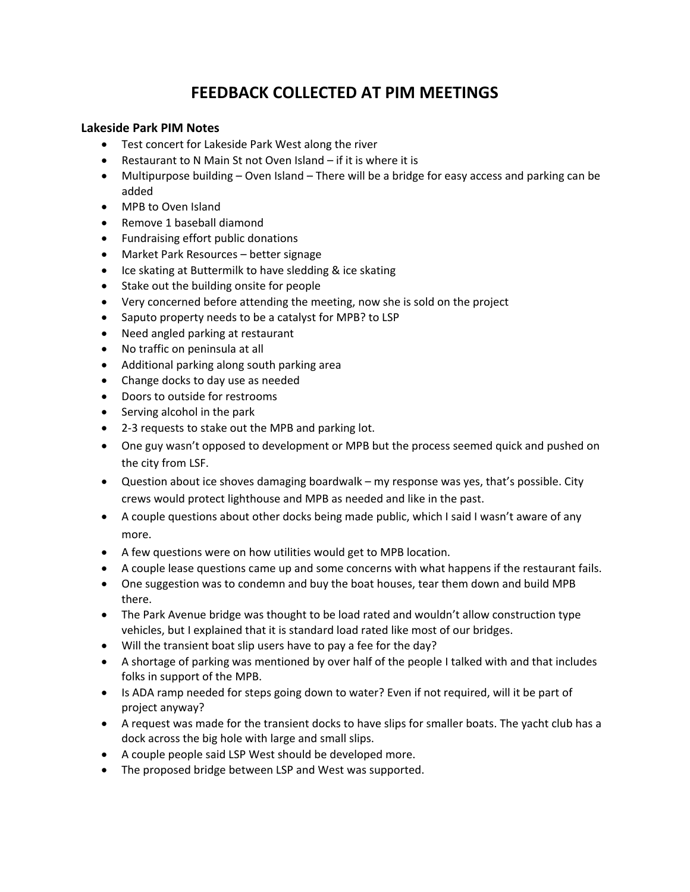## **FEEDBACK COLLECTED AT PIM MEETINGS**

## **Lakeside Park PIM Notes**

- Test concert for Lakeside Park West along the river
- Restaurant to N Main St not Oven Island if it is where it is
- Multipurpose building Oven Island There will be a bridge for easy access and parking can be added
- MPB to Oven Island
- Remove 1 baseball diamond
- Fundraising effort public donations
- Market Park Resources better signage
- Ice skating at Buttermilk to have sledding & ice skating
- Stake out the building onsite for people
- Very concerned before attending the meeting, now she is sold on the project
- Saputo property needs to be a catalyst for MPB? to LSP
- Need angled parking at restaurant
- No traffic on peninsula at all
- Additional parking along south parking area
- Change docks to day use as needed
- Doors to outside for restrooms
- Serving alcohol in the park
- 2-3 requests to stake out the MPB and parking lot.
- One guy wasn't opposed to development or MPB but the process seemed quick and pushed on the city from LSF.
- Question about ice shoves damaging boardwalk my response was yes, that's possible. City crews would protect lighthouse and MPB as needed and like in the past.
- A couple questions about other docks being made public, which I said I wasn't aware of any more.
- A few questions were on how utilities would get to MPB location.
- A couple lease questions came up and some concerns with what happens if the restaurant fails.
- One suggestion was to condemn and buy the boat houses, tear them down and build MPB there.
- The Park Avenue bridge was thought to be load rated and wouldn't allow construction type vehicles, but I explained that it is standard load rated like most of our bridges.
- Will the transient boat slip users have to pay a fee for the day?
- A shortage of parking was mentioned by over half of the people I talked with and that includes folks in support of the MPB.
- Is ADA ramp needed for steps going down to water? Even if not required, will it be part of project anyway?
- A request was made for the transient docks to have slips for smaller boats. The yacht club has a dock across the big hole with large and small slips.
- A couple people said LSP West should be developed more.
- The proposed bridge between LSP and West was supported.